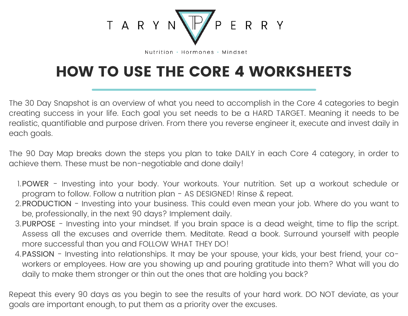

Nutrition • Hormones • Mindset

# HOW TO USE THE CORE 4 WORKSHEETS

The 30 Day Snapshot is an overview of what you need to accomplish in the Core 4 categories to begin creating success in your life. Each goal you set needs to be a HARD TARGET. Meaning it needs to be realistic, quantifiable and purpose driven. From there you reverse engineer it, execute and invest daily in each goals.

The 90 Day Map breaks down the steps you plan to take DAILY in each Core 4 category, in order to achieve them. These must be non-negotiable and done daily!

- 1.POWER Investing into your body. Your workouts. Your nutrition. Set up a workout schedule or program to follow. Follow a nutrition plan - AS DESIGNED! Rinse & repeat.
- 2.PRODUCTION Investing into your business. This could even mean your job. Where do you want to be, professionally, in the next 90 days? Implement daily.
- 3.PURPOSE Investing into your mindset. If you brain space is a dead weight, time to flip the script. Assess all the excuses and override them. Meditate. Read a book. Surround yourself with people more successful than you and FOLLOW WHAT THEY DO!
- PASSION Investing into relationships. It may be your spouse, your kids, your best friend, your co-4. workers or employees. How are you showing up and pouring gratitude into them? What will you do daily to make them stronger or thin out the ones that are holding you back?

Repeat this every 90 days as you begin to see the results of your hard work. DO NOT deviate, as your goals are important enough, to put them as a priority over the excuses.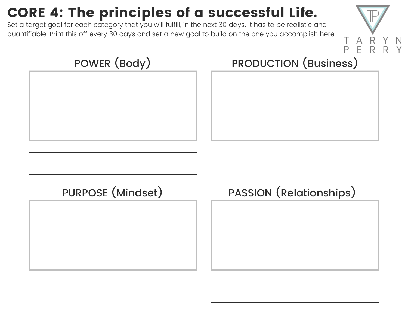# CORE 4: The principles of a successful Life.

Set a target goal for each category that you will fulfill, in the next 30 days. It has to be realistic and quantifiable. Print this off every 30 days and set a new goal to build on the one you accomplish here.



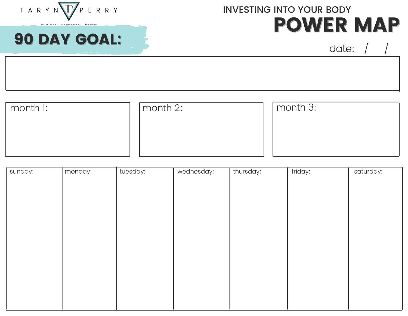

Nutrition . Hormonge . Mindegt

90 DAY GOAL:

### POWER MAP INVESTING INTO YOUR BODY

| month I: | I month $2$ : | month 3: |
|----------|---------------|----------|
|          |               |          |
|          |               |          |
|          |               |          |

| sunday: | monday: | tuesday: | wednesday: | thursday: | friday: | saturday: |
|---------|---------|----------|------------|-----------|---------|-----------|
|         |         |          |            |           |         |           |
|         |         |          |            |           |         |           |
|         |         |          |            |           |         |           |
|         |         |          |            |           |         |           |
|         |         |          |            |           |         |           |
|         |         |          |            |           |         |           |
|         |         |          |            |           |         |           |
|         |         |          |            |           |         |           |
|         |         |          |            |           |         |           |
|         |         |          |            |           |         |           |
|         |         |          |            |           |         |           |
|         |         |          |            |           |         |           |
|         |         |          |            |           |         |           |
|         |         |          |            |           |         |           |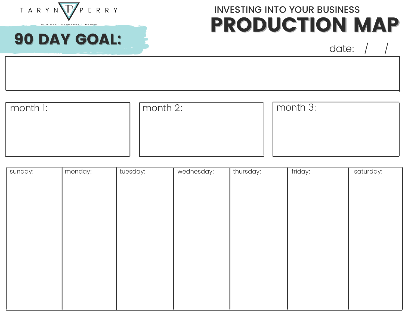

. Mindeat

90 DAY GOAL:

Nutrition . Hormonge

## PRODUCTION MAP INVESTING INTO YOUR BUSINESS

| $\mid$ month $\mid$ : | month 2: | month 3: |
|-----------------------|----------|----------|
|                       |          |          |
|                       |          |          |
|                       |          |          |

| sunday: | monday: | tuesday: | wednesday: | thursday: | friday: | saturday: |
|---------|---------|----------|------------|-----------|---------|-----------|
|         |         |          |            |           |         |           |
|         |         |          |            |           |         |           |
|         |         |          |            |           |         |           |
|         |         |          |            |           |         |           |
|         |         |          |            |           |         |           |
|         |         |          |            |           |         |           |
|         |         |          |            |           |         |           |
|         |         |          |            |           |         |           |
|         |         |          |            |           |         |           |
|         |         |          |            |           |         |           |
|         |         |          |            |           |         |           |
|         |         |          |            |           |         |           |
|         |         |          |            |           |         |           |
|         |         |          |            |           |         |           |
|         |         |          |            |           |         |           |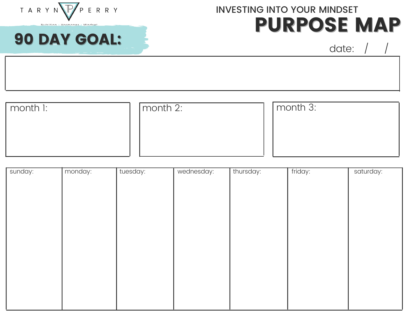

Nutrition . Hormonge . Mindegt

90 DAY GOAL:

#### PURPOSE MAP INVESTING INTO YOUR MINDSET

| month 1: | month 2: | month 3: |
|----------|----------|----------|
|          |          |          |
|          |          |          |
|          |          |          |

| monday: | tuesday: | wednesday: | thursday: | friday: | saturday: |
|---------|----------|------------|-----------|---------|-----------|
|         |          |            |           |         |           |
|         |          |            |           |         |           |
|         |          |            |           |         |           |
|         |          |            |           |         |           |
|         |          |            |           |         |           |
|         |          |            |           |         |           |
|         |          |            |           |         |           |
|         |          |            |           |         |           |
|         |          |            |           |         |           |
|         |          |            |           |         |           |
|         |          |            |           |         |           |
|         |          |            |           |         |           |
|         |          |            |           |         |           |
|         |          |            |           |         |           |
|         |          |            |           |         |           |